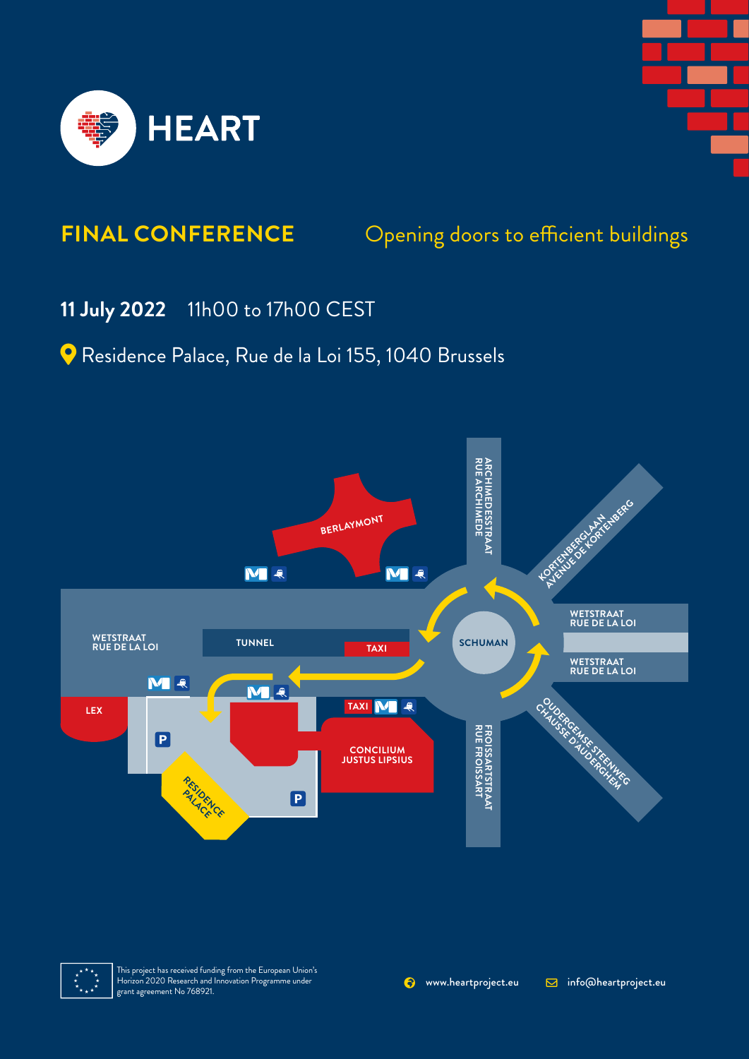



## Opening doors to efficient buildings **FINAL CONFERENCE**

## **11 July 2022** 11h00 to 17h00 CEST

Residence Palace, Rue de la Loi 155, 1040 Brussels





This project has received funding from the European Union's Horizon 2020 Research and Innovation Programme under grant agreement No 768921.